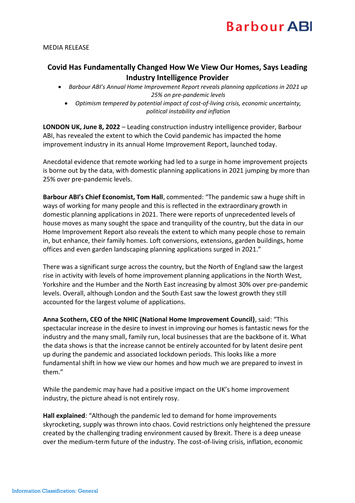## **Barbour ABI**

## MEDIA RELEASE

## **Covid Has Fundamentally Changed How We View Our Homes, Says Leading Industry Intelligence Provider**

- *Barbour ABI's Annual Home Improvement Report reveals planning applications in 2021 up 25% on pre-pandemic levels*
	- *Optimism tempered by potential impact of cost-of-living crisis, economic uncertainty, political instability and inflation*

**LONDON UK, June 8, 2022** – Leading construction industry intelligence provider, Barbour ABI, has revealed the extent to which the Covid pandemic has impacted the home improvement industry in its annual Home Improvement Report, launched today.

Anecdotal evidence that remote working had led to a surge in home improvement projects is borne out by the data, with domestic planning applications in 2021 jumping by more than 25% over pre-pandemic levels.

**Barbour ABI's Chief Economist, Tom Hall**, commented: "The pandemic saw a huge shift in ways of working for many people and this is reflected in the extraordinary growth in domestic planning applications in 2021. There were reports of unprecedented levels of house moves as many sought the space and tranquility of the country, but the data in our Home Improvement Report also reveals the extent to which many people chose to remain in, but enhance, their family homes. Loft conversions, extensions, garden buildings, home offices and even garden landscaping planning applications surged in 2021."

There was a significant surge across the country, but the North of England saw the largest rise in activity with levels of home improvement planning applications in the North West, Yorkshire and the Humber and the North East increasing by almost 30% over pre-pandemic levels. Overall, although London and the South East saw the lowest growth they still accounted for the largest volume of applications.

**Anna Scothern, CEO of the NHIC (National Home Improvement Council)**, said: "This spectacular increase in the desire to invest in improving our homes is fantastic news for the industry and the many small, family run, local businesses that are the backbone of it. What the data shows is that the increase cannot be entirely accounted for by latent desire pent up during the pandemic and associated lockdown periods. This looks like a more fundamental shift in how we view our homes and how much we are prepared to invest in them."

While the pandemic may have had a positive impact on the UK's home improvement industry, the picture ahead is not entirely rosy.

**Hall explained**: "Although the pandemic led to demand for home improvements skyrocketing, supply was thrown into chaos. Covid restrictions only heightened the pressure created by the challenging trading environment caused by Brexit. There is a deep unease over the medium-term future of the industry. The cost-of-living crisis, inflation, economic